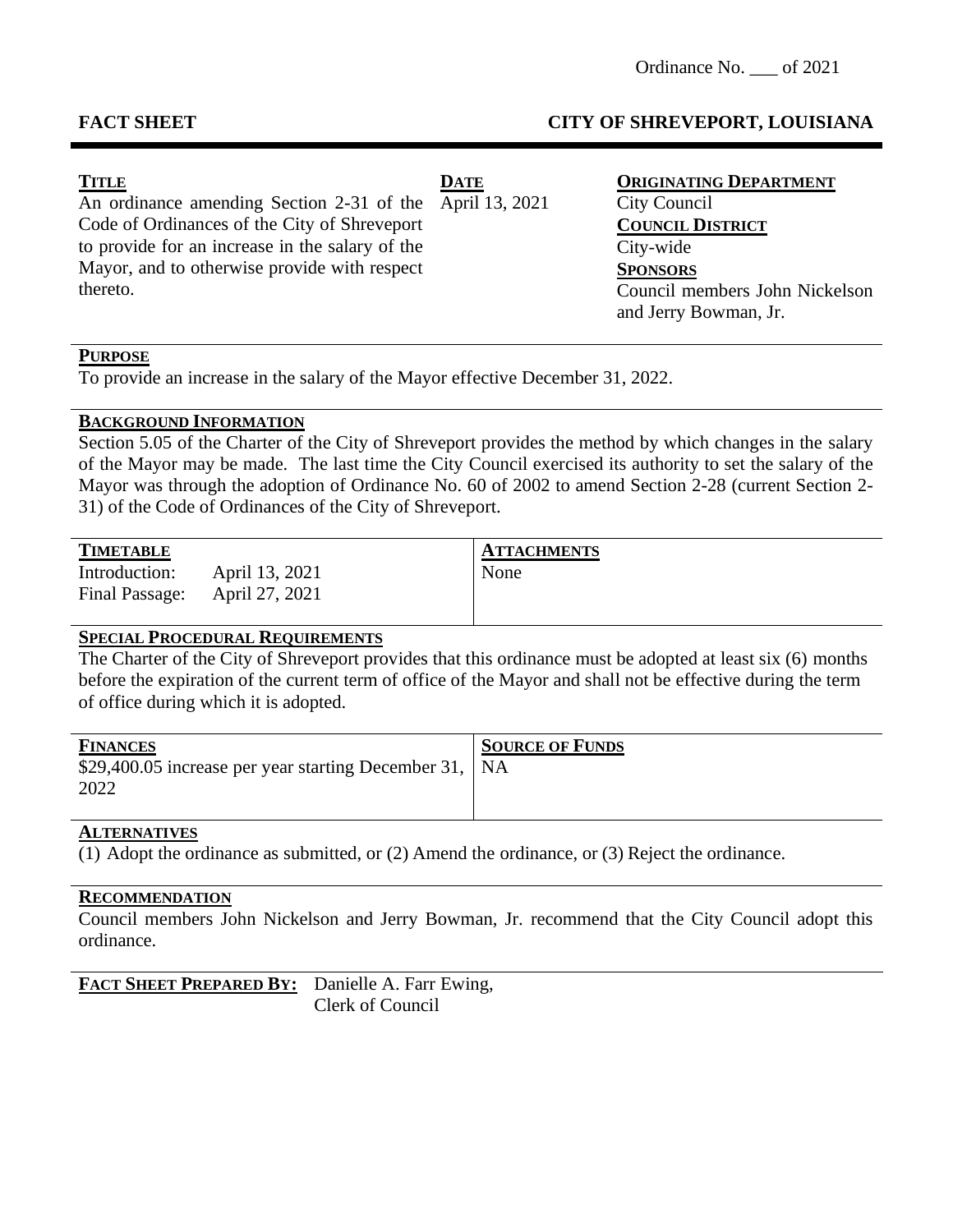# **FACT SHEET CITY OF SHREVEPORT, LOUISIANA**

| <b>TITLE</b>                                             | <b>DATE</b> | <b>ORIGINATING DEPARTMENT</b>  |
|----------------------------------------------------------|-------------|--------------------------------|
| An ordinance amending Section 2-31 of the April 13, 2021 |             | City Council                   |
| Code of Ordinances of the City of Shreveport             |             | <b>COUNCIL DISTRICT</b>        |
| to provide for an increase in the salary of the          |             | City-wide                      |
| Mayor, and to otherwise provide with respect             |             | <b>SPONSORS</b>                |
| thereto.                                                 |             | Council members John Nickelson |
|                                                          |             | and Jerry Bowman, Jr.          |
|                                                          |             |                                |

### **PURPOSE**

To provide an increase in the salary of the Mayor effective December 31, 2022.

## **BACKGROUND INFORMATION**

Section 5.05 of the Charter of the City of Shreveport provides the method by which changes in the salary of the Mayor may be made. The last time the City Council exercised its authority to set the salary of the Mayor was through the adoption of Ordinance No. 60 of 2002 to amend Section 2-28 (current Section 2- 31) of the Code of Ordinances of the City of Shreveport.

| <b>TIMETABLE</b> |                | ATTA |
|------------------|----------------|------|
| Introduction:    | April 13, 2021 | None |

Final Passage: April 27, 2021

 $ATTACHMENTS$ 

### **SPECIAL PROCEDURAL REQUIREMENTS**

The Charter of the City of Shreveport provides that this ordinance must be adopted at least six (6) months before the expiration of the current term of office of the Mayor and shall not be effective during the term of office during which it is adopted.

| <b>FINANCES</b><br>\$29,400.05 increase per year starting December 31,   NA<br>2022 | <b>SOURCE OF FUNDS</b> |
|-------------------------------------------------------------------------------------|------------------------|
|                                                                                     |                        |

### **ALTERNATIVES**

(1) Adopt the ordinance as submitted, or (2) Amend the ordinance, or (3) Reject the ordinance.

### **RECOMMENDATION**

Council members John Nickelson and Jerry Bowman, Jr. recommend that the City Council adopt this ordinance.

| FACT SHEET PREPARED BY: Danielle A. Farr Ewing, |                  |
|-------------------------------------------------|------------------|
|                                                 | Clerk of Council |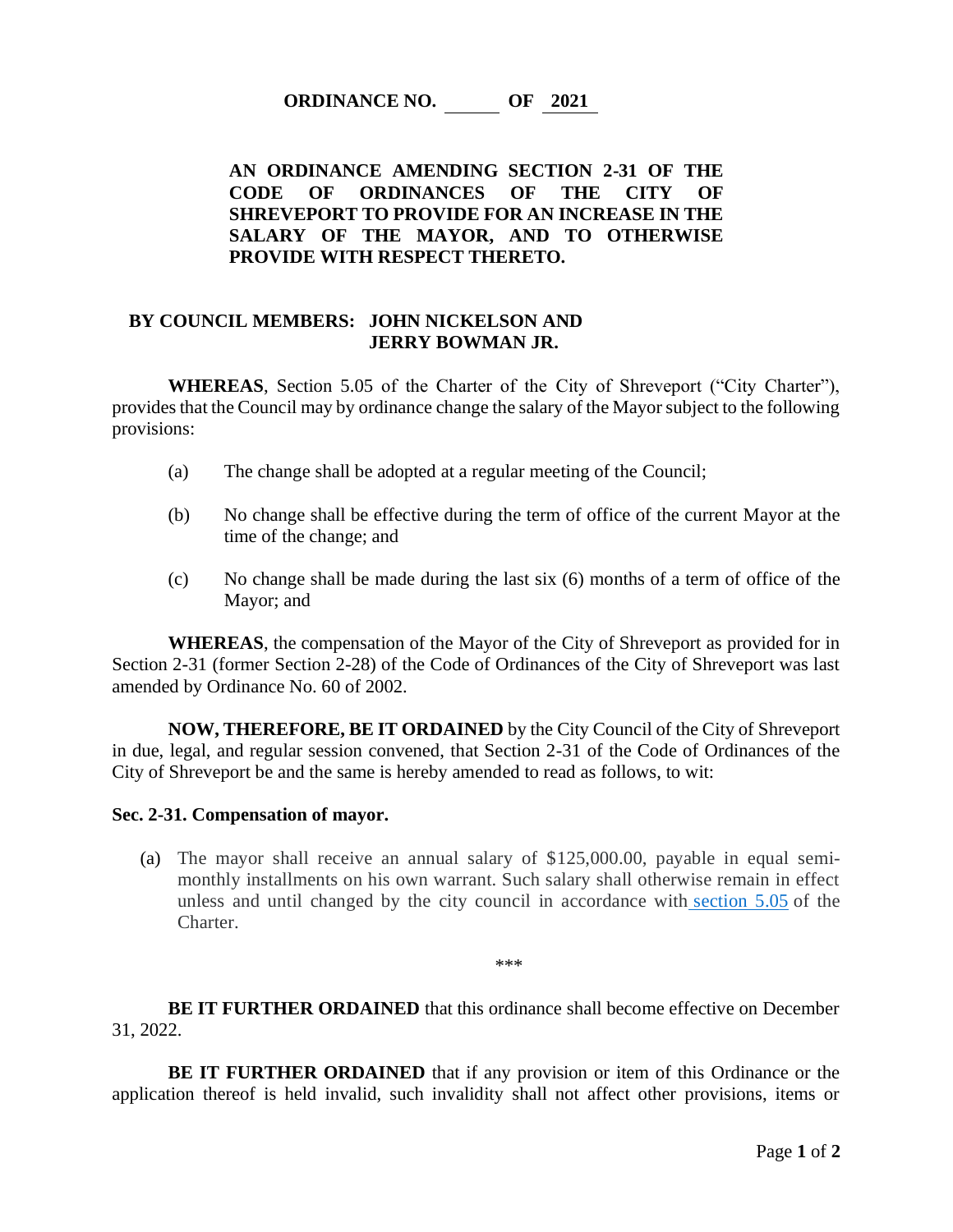**ORDINANCE NO. OF 2021**

## **AN ORDINANCE AMENDING SECTION 2-31 OF THE CODE OF ORDINANCES OF THE CITY OF SHREVEPORT TO PROVIDE FOR AN INCREASE IN THE SALARY OF THE MAYOR, AND TO OTHERWISE PROVIDE WITH RESPECT THERETO.**

#### **BY COUNCIL MEMBERS: JOHN NICKELSON AND JERRY BOWMAN JR.**

**WHEREAS**, Section 5.05 of the Charter of the City of Shreveport ("City Charter"), provides that the Council may by ordinance change the salary of the Mayor subject to the following provisions:

- (a) The change shall be adopted at a regular meeting of the Council;
- (b) No change shall be effective during the term of office of the current Mayor at the time of the change; and
- (c) No change shall be made during the last six (6) months of a term of office of the Mayor; and

**WHEREAS**, the compensation of the Mayor of the City of Shreveport as provided for in Section 2-31 (former Section 2-28) of the Code of Ordinances of the City of Shreveport was last amended by Ordinance No. 60 of 2002.

**NOW, THEREFORE, BE IT ORDAINED** by the City Council of the City of Shreveport in due, legal, and regular session convened, that Section 2-31 of the Code of Ordinances of the City of Shreveport be and the same is hereby amended to read as follows, to wit:

#### **Sec. 2-31. Compensation of mayor.**

(a) The mayor shall receive an annual salary of \$125,000.00, payable in equal semimonthly installments on his own warrant. Such salary shall otherwise remain in effect unless and until changed by the city council in accordance with [section 5.05](https://library.municode.com/la/shreveport/codes/code_of_ordinances?nodeId=PTICHSH1978_ART5THEXBR_S5.05COMA) of the Charter.

\*\*\*

**BE IT FURTHER ORDAINED** that this ordinance shall become effective on December 31, 2022.

**BE IT FURTHER ORDAINED** that if any provision or item of this Ordinance or the application thereof is held invalid, such invalidity shall not affect other provisions, items or